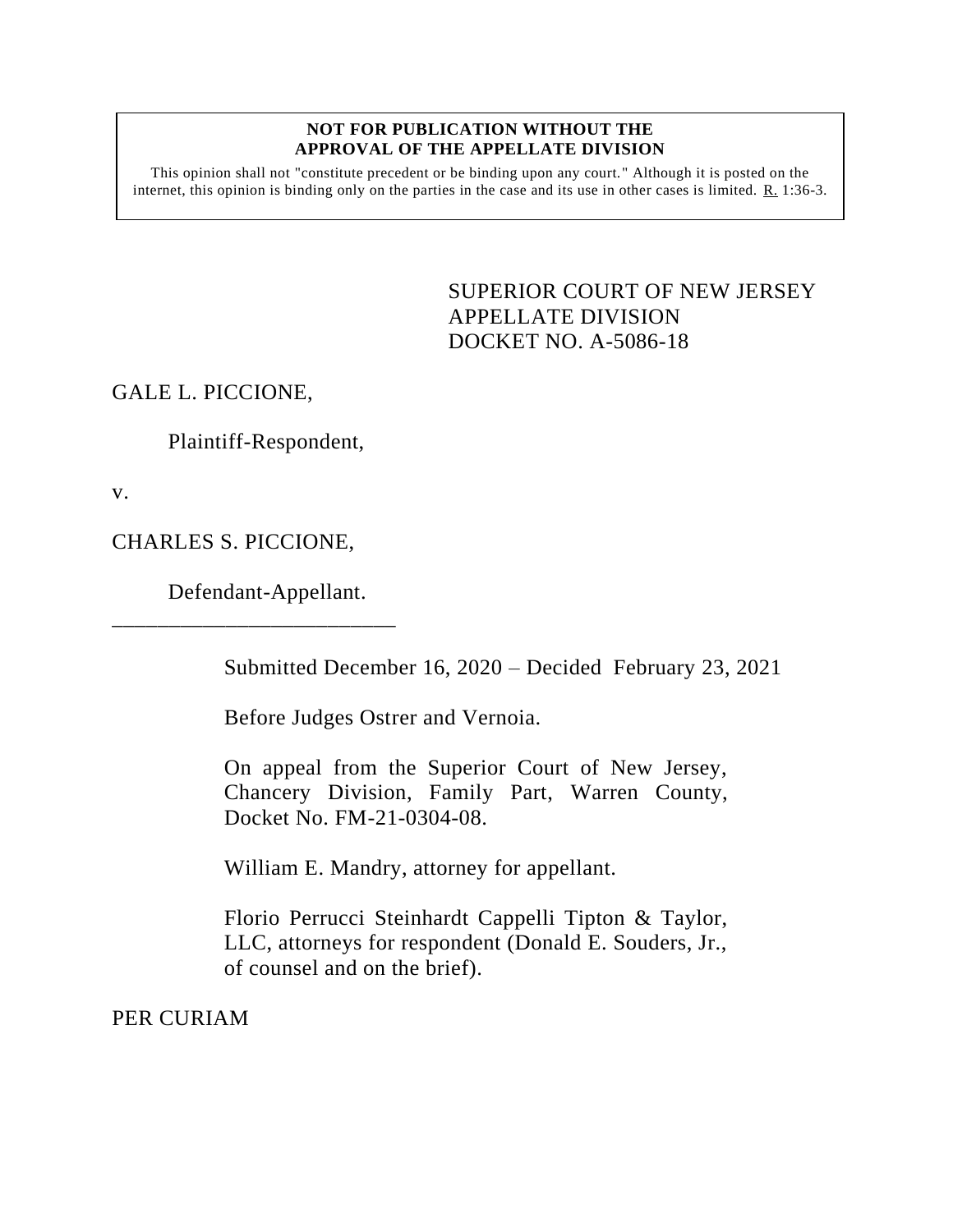## **NOT FOR PUBLICATION WITHOUT THE APPROVAL OF THE APPELLATE DIVISION**

This opinion shall not "constitute precedent or be binding upon any court." Although it is posted on the internet, this opinion is binding only on the parties in the case and its use in other cases is limited.  $R_1$  1:36-3.

> <span id="page-0-0"></span>SUPERIOR COURT OF NEW JERSEY APPELLATE DIVISION DOCKET NO. A-5086-18

GALE L. PICCIONE,

Plaintiff-Respondent,

v.

CHARLES S. PICCIONE,

Defendant-Appellant.

\_\_\_\_\_\_\_\_\_\_\_\_\_\_\_\_\_\_\_\_\_\_\_\_\_

Submitted December 16, 2020 – Decided February 23, 2021

Before Judges Ostrer and Vernoia.

On appeal from the Superior Court of New Jersey, Chancery Division, Family Part, Warren County, Docket No. FM-21-0304-08.

William E. Mandry, attorney for appellant.

Florio Perrucci Steinhardt Cappelli Tipton & Taylor, LLC, attorneys for respondent (Donald E. Souders, Jr., of counsel and on the brief).

PER CURIAM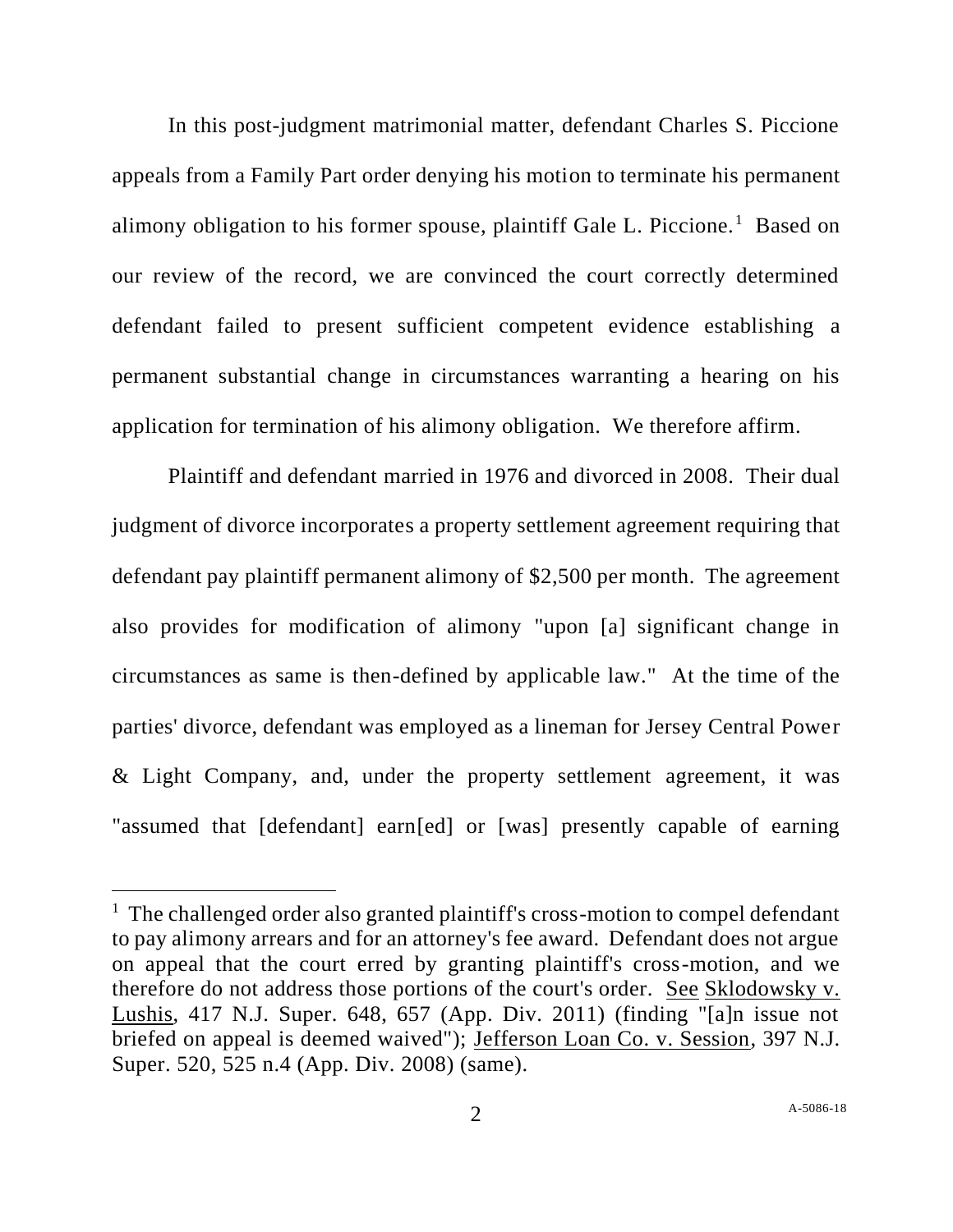In this post-judgment matrimonial matter, defendant Charles S. Piccione appeals from a Family Part order denying his motion to terminate his permanent alimony obligation to his former spouse, plaintiff Gale L. Piccione.<sup>1</sup> Based on our review of the record, we are convinced the court correctly determined defendant failed to present sufficient competent evidence establishing a permanent substantial change in circumstances warranting a hearing on his application for termination of his alimony obligation. We therefore affirm.

Plaintiff and defendant married in 1976 and divorced in 2008. Their dual judgment of divorce incorporates a property settlement agreement requiring that defendant pay plaintiff permanent alimony of \$2,500 per month. The agreement also provides for modification of alimony "upon [a] significant change in circumstances as same is then-defined by applicable law." At the time of the parties' divorce, defendant was employed as a lineman for Jersey Central Power & Light Company, and, under the property settlement agreement, it was "assumed that [defendant] earn[ed] or [was] presently capable of earning

<sup>&</sup>lt;sup>1</sup> The challenged order also granted plaintiff's cross-motion to compel defendant to pay alimony arrears and for an attorney's fee award. Defendant does not argue on appeal that the court erred by granting plaintiff's cross-motion, and we therefore do not address those portions of the court's order. See Sklodowsky v. Lushis, 417 N.J. Super. 648, 657 (App. Div. 2011) (finding "[a]n issue not briefed on appeal is deemed waived"); Jefferson Loan Co. v. Session, 397 N.J. Super. 520, 525 n.4 (App. Div. 2008) (same).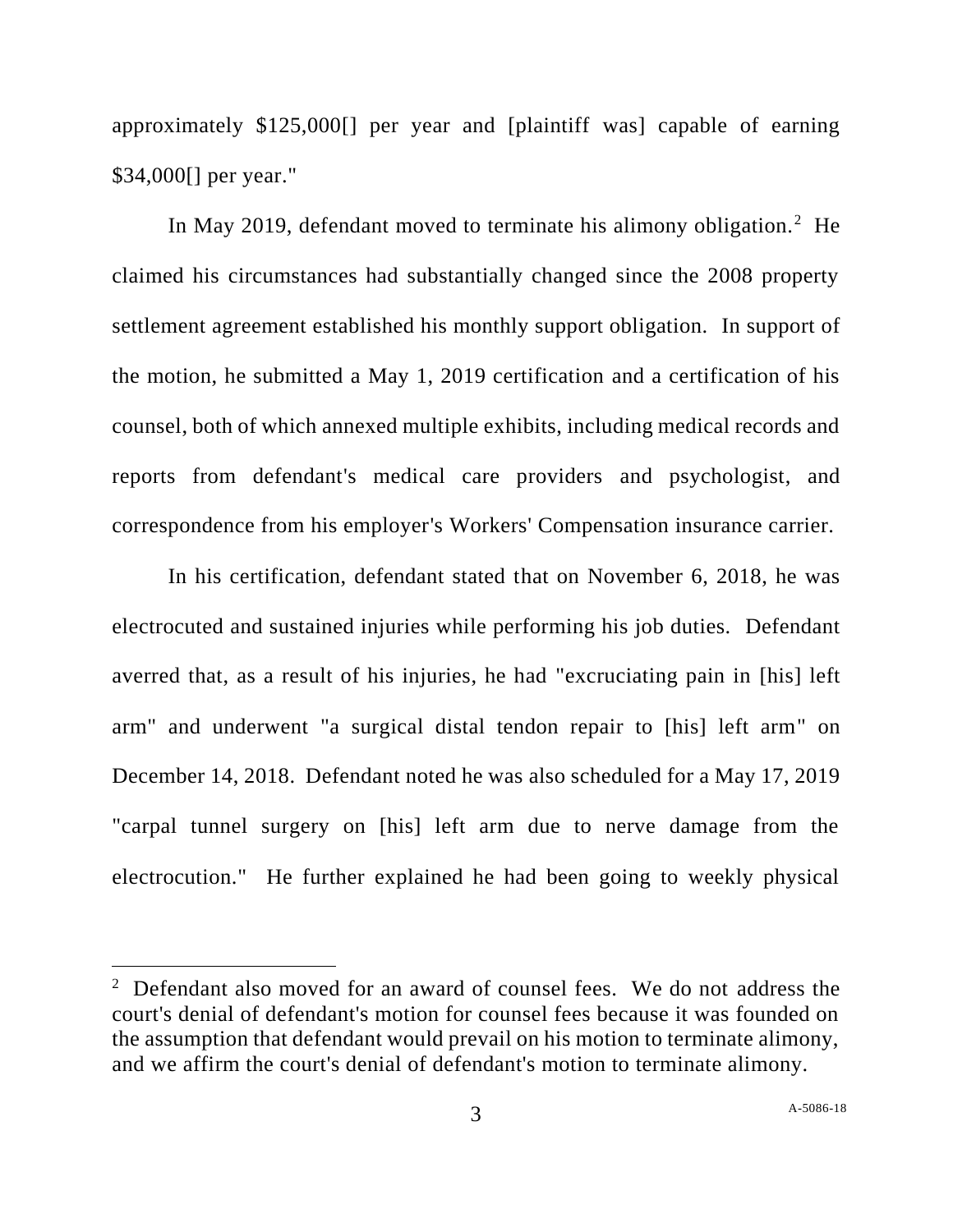approximately \$125,000[] per year and [plaintiff was] capable of earning \$34,000[] per year."

In May 2019, defendant moved to terminate his alimony obligation.<sup>2</sup> He claimed his circumstances had substantially changed since the 2008 property settlement agreement established his monthly support obligation. In support of the motion, he submitted a May 1, 2019 certification and a certification of his counsel, both of which annexed multiple exhibits, including medical records and reports from defendant's medical care providers and psychologist, and correspondence from his employer's Workers' Compensation insurance carrier.

In his certification, defendant stated that on November 6, 2018, he was electrocuted and sustained injuries while performing his job duties. Defendant averred that, as a result of his injuries, he had "excruciating pain in [his] left arm" and underwent "a surgical distal tendon repair to [his] left arm" on December 14, 2018. Defendant noted he was also scheduled for a May 17, 2019 "carpal tunnel surgery on [his] left arm due to nerve damage from the electrocution." He further explained he had been going to weekly physical

<sup>&</sup>lt;sup>2</sup> Defendant also moved for an award of counsel fees. We do not address the court's denial of defendant's motion for counsel fees because it was founded on the assumption that defendant would prevail on his motion to terminate alimony, and we affirm the court's denial of defendant's motion to terminate alimony.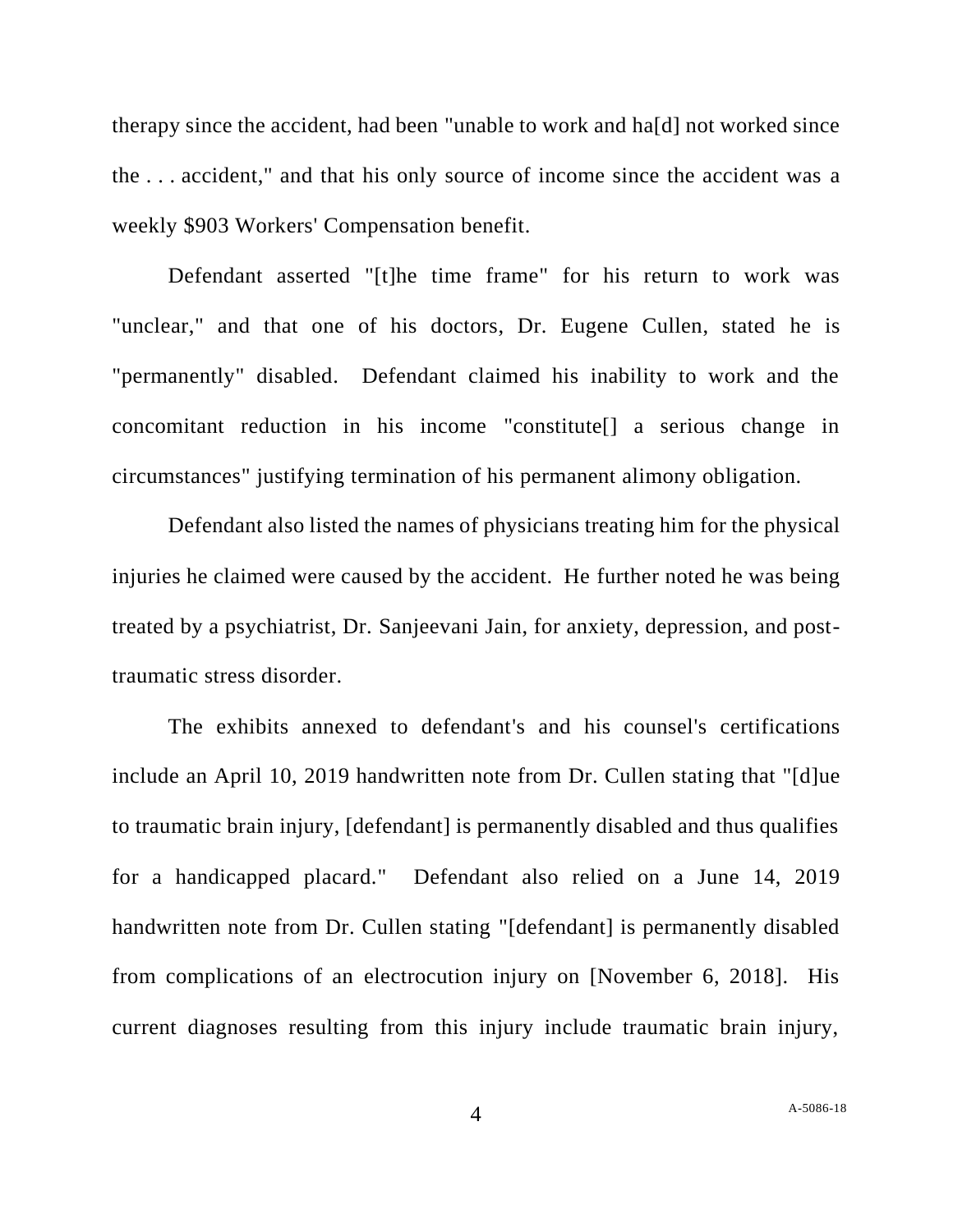therapy since the accident, had been "unable to work and ha[d] not worked since the . . . accident," and that his only source of income since the accident was a weekly \$903 Workers' Compensation benefit.

Defendant asserted "[t]he time frame" for his return to work was "unclear," and that one of his doctors, Dr. Eugene Cullen, stated he is "permanently" disabled. Defendant claimed his inability to work and the concomitant reduction in his income "constitute[] a serious change in circumstances" justifying termination of his permanent alimony obligation.

Defendant also listed the names of physicians treating him for the physical injuries he claimed were caused by the accident. He further noted he was being treated by a psychiatrist, Dr. Sanjeevani Jain, for anxiety, depression, and posttraumatic stress disorder.

The exhibits annexed to defendant's and his counsel's certifications include an April 10, 2019 handwritten note from Dr. Cullen stating that "[d]ue to traumatic brain injury, [defendant] is permanently disabled and thus qualifies for a handicapped placard." Defendant also relied on a June 14, 2019 handwritten note from Dr. Cullen stating "[defendant] is permanently disabled from complications of an electrocution injury on [November 6, 2018]. His current diagnoses resulting from this injury include traumatic brain injury,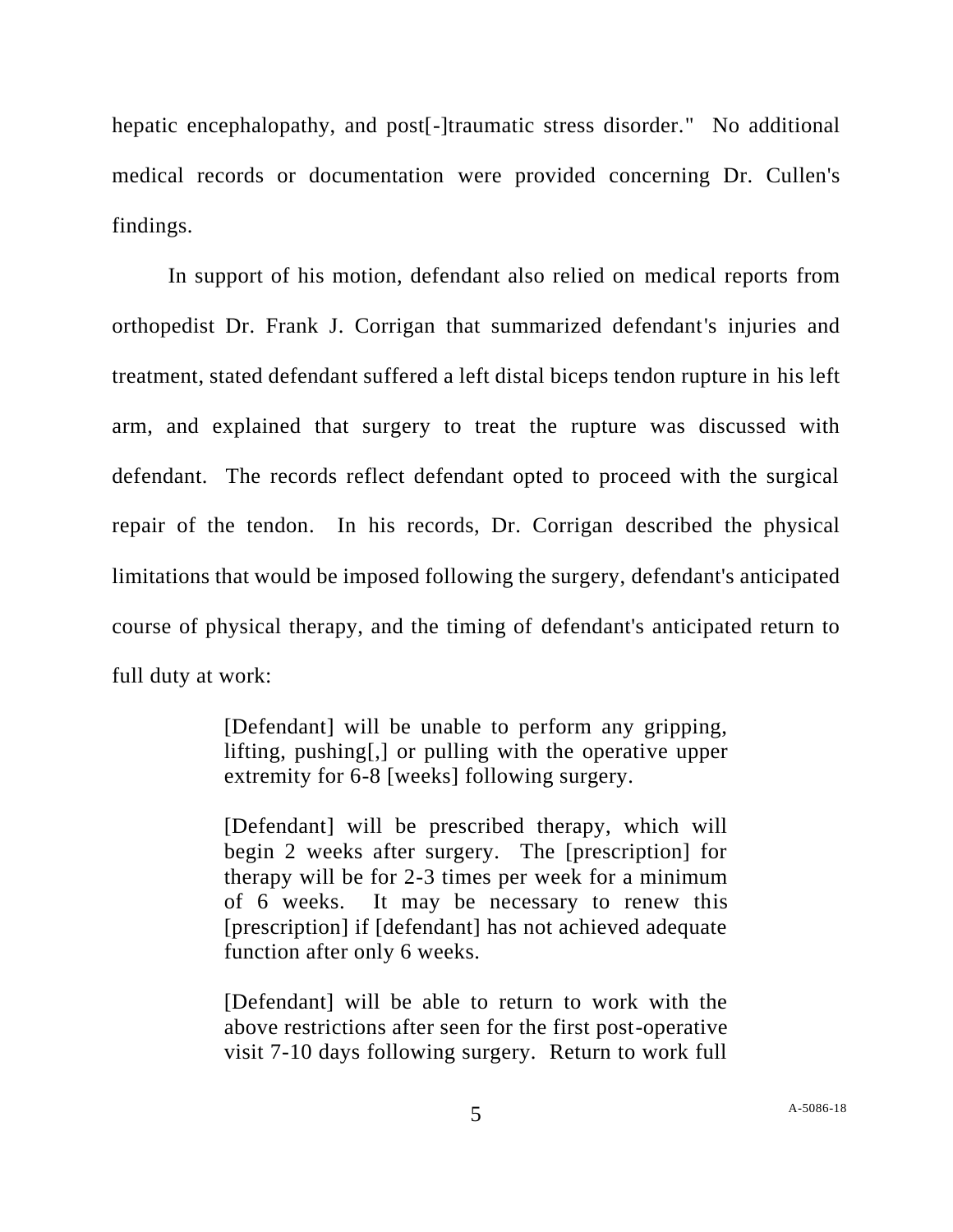hepatic encephalopathy, and post<sup>[-</sup>]traumatic stress disorder." No additional medical records or documentation were provided concerning Dr. Cullen's findings.

In support of his motion, defendant also relied on medical reports from orthopedist Dr. Frank J. Corrigan that summarized defendant's injuries and treatment, stated defendant suffered a left distal biceps tendon rupture in his left arm, and explained that surgery to treat the rupture was discussed with defendant. The records reflect defendant opted to proceed with the surgical repair of the tendon. In his records, Dr. Corrigan described the physical limitations that would be imposed following the surgery, defendant's anticipated course of physical therapy, and the timing of defendant's anticipated return to full duty at work:

> [Defendant] will be unable to perform any gripping, lifting, pushing[,] or pulling with the operative upper extremity for 6-8 [weeks] following surgery.

> [Defendant] will be prescribed therapy, which will begin 2 weeks after surgery. The [prescription] for therapy will be for 2-3 times per week for a minimum of 6 weeks. It may be necessary to renew this [prescription] if [defendant] has not achieved adequate function after only 6 weeks.

> [Defendant] will be able to return to work with the above restrictions after seen for the first post-operative visit 7-10 days following surgery. Return to work full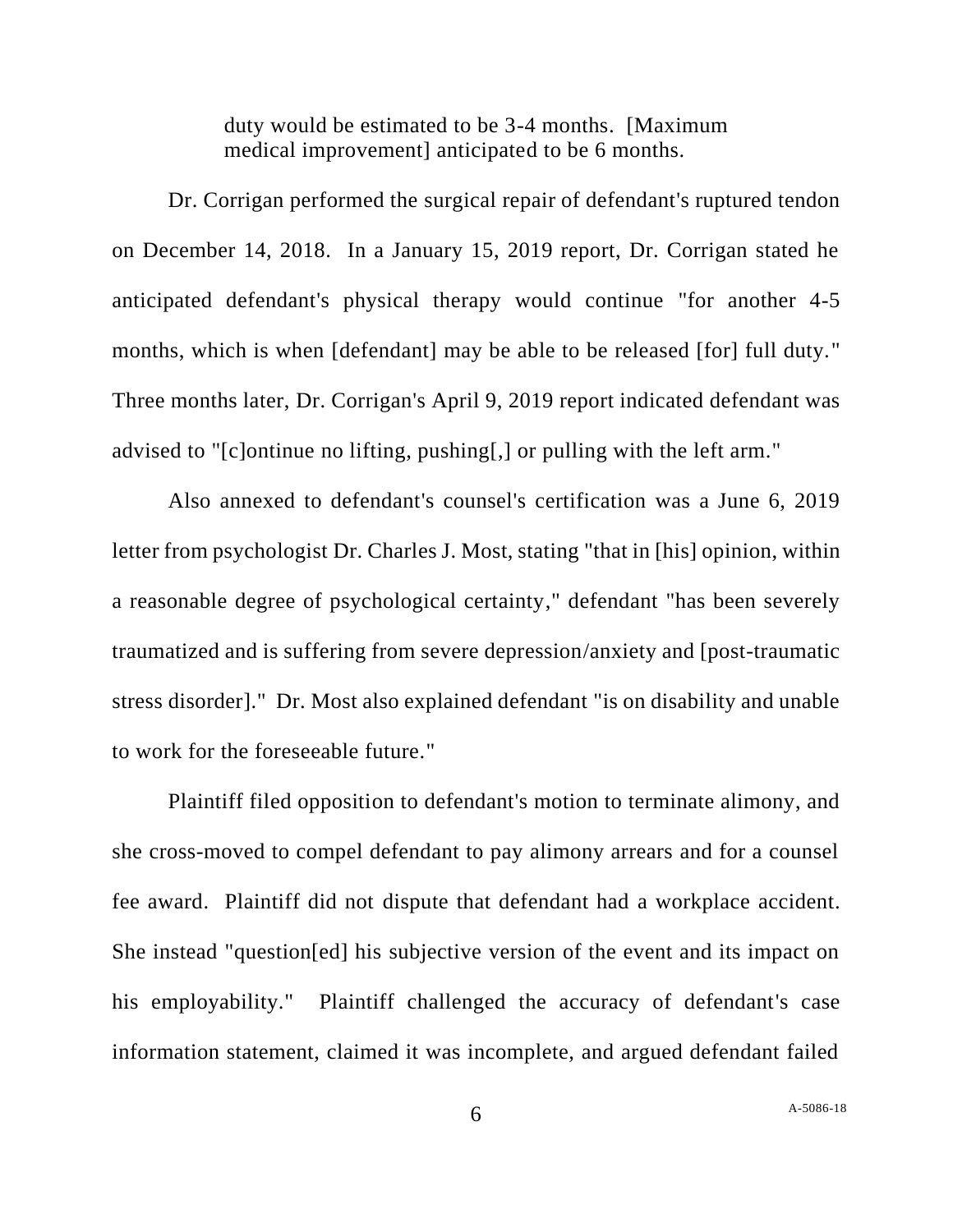duty would be estimated to be 3-4 months. [Maximum medical improvement] anticipated to be 6 months.

Dr. Corrigan performed the surgical repair of defendant's ruptured tendon on December 14, 2018. In a January 15, 2019 report, Dr. Corrigan stated he anticipated defendant's physical therapy would continue "for another 4-5 months, which is when [defendant] may be able to be released [for] full duty." Three months later, Dr. Corrigan's April 9, 2019 report indicated defendant was advised to "[c]ontinue no lifting, pushing[,] or pulling with the left arm."

Also annexed to defendant's counsel's certification was a June 6, 2019 letter from psychologist Dr. Charles J. Most, stating "that in [his] opinion, within a reasonable degree of psychological certainty," defendant "has been severely traumatized and is suffering from severe depression/anxiety and [post-traumatic stress disorder]." Dr. Most also explained defendant "is on disability and unable to work for the foreseeable future."

Plaintiff filed opposition to defendant's motion to terminate alimony, and she cross-moved to compel defendant to pay alimony arrears and for a counsel fee award. Plaintiff did not dispute that defendant had a workplace accident. She instead "question[ed] his subjective version of the event and its impact on his employability." Plaintiff challenged the accuracy of defendant's case information statement, claimed it was incomplete, and argued defendant failed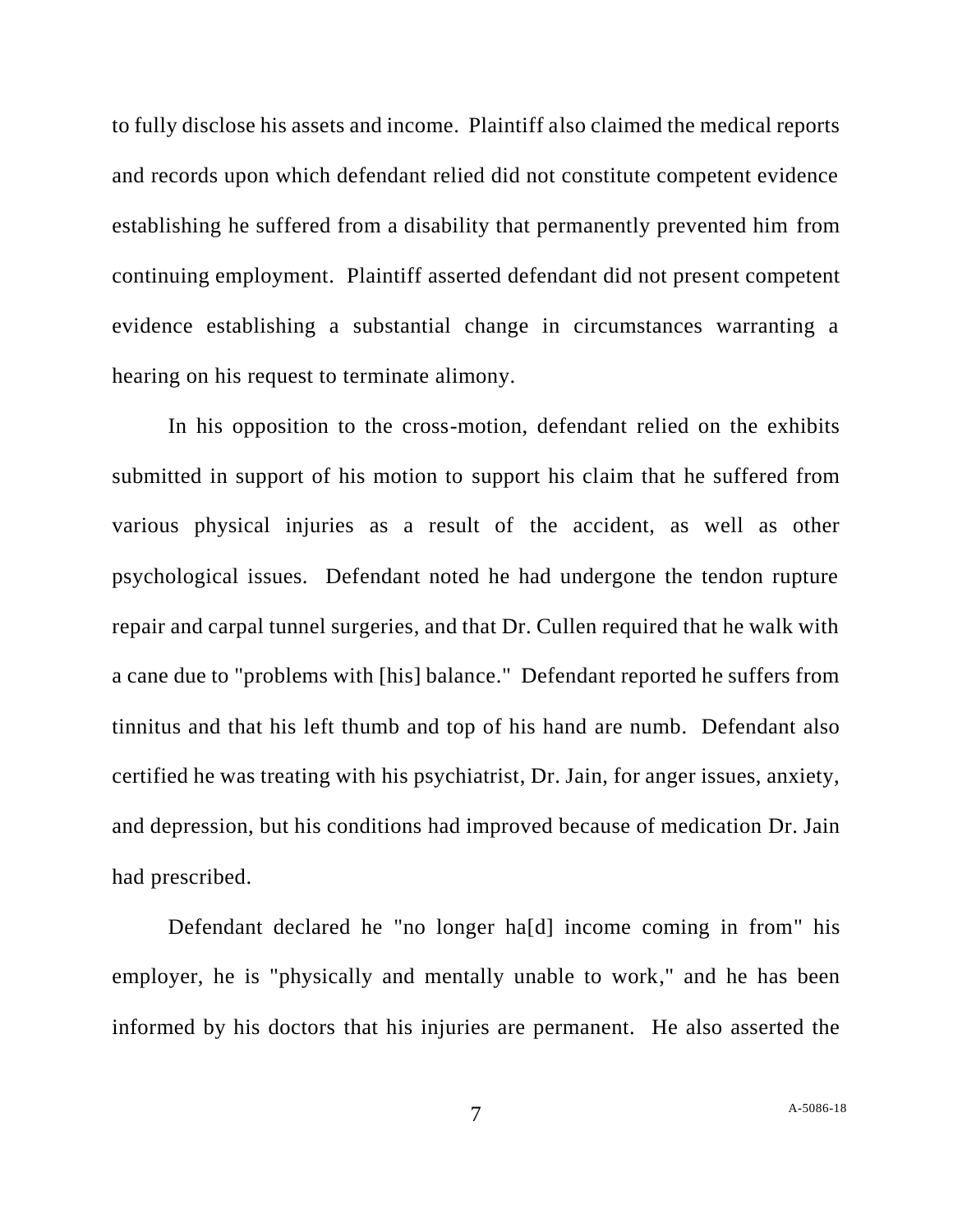to fully disclose his assets and income. Plaintiff also claimed the medical reports and records upon which defendant relied did not constitute competent evidence establishing he suffered from a disability that permanently prevented him from continuing employment. Plaintiff asserted defendant did not present competent evidence establishing a substantial change in circumstances warranting a hearing on his request to terminate alimony.

In his opposition to the cross-motion, defendant relied on the exhibits submitted in support of his motion to support his claim that he suffered from various physical injuries as a result of the accident, as well as other psychological issues. Defendant noted he had undergone the tendon rupture repair and carpal tunnel surgeries, and that Dr. Cullen required that he walk with a cane due to "problems with [his] balance." Defendant reported he suffers from tinnitus and that his left thumb and top of his hand are numb. Defendant also certified he was treating with his psychiatrist, Dr. Jain, for anger issues, anxiety, and depression, but his conditions had improved because of medication Dr. Jain had prescribed.

Defendant declared he "no longer ha[d] income coming in from" his employer, he is "physically and mentally unable to work," and he has been informed by his doctors that his injuries are permanent. He also asserted the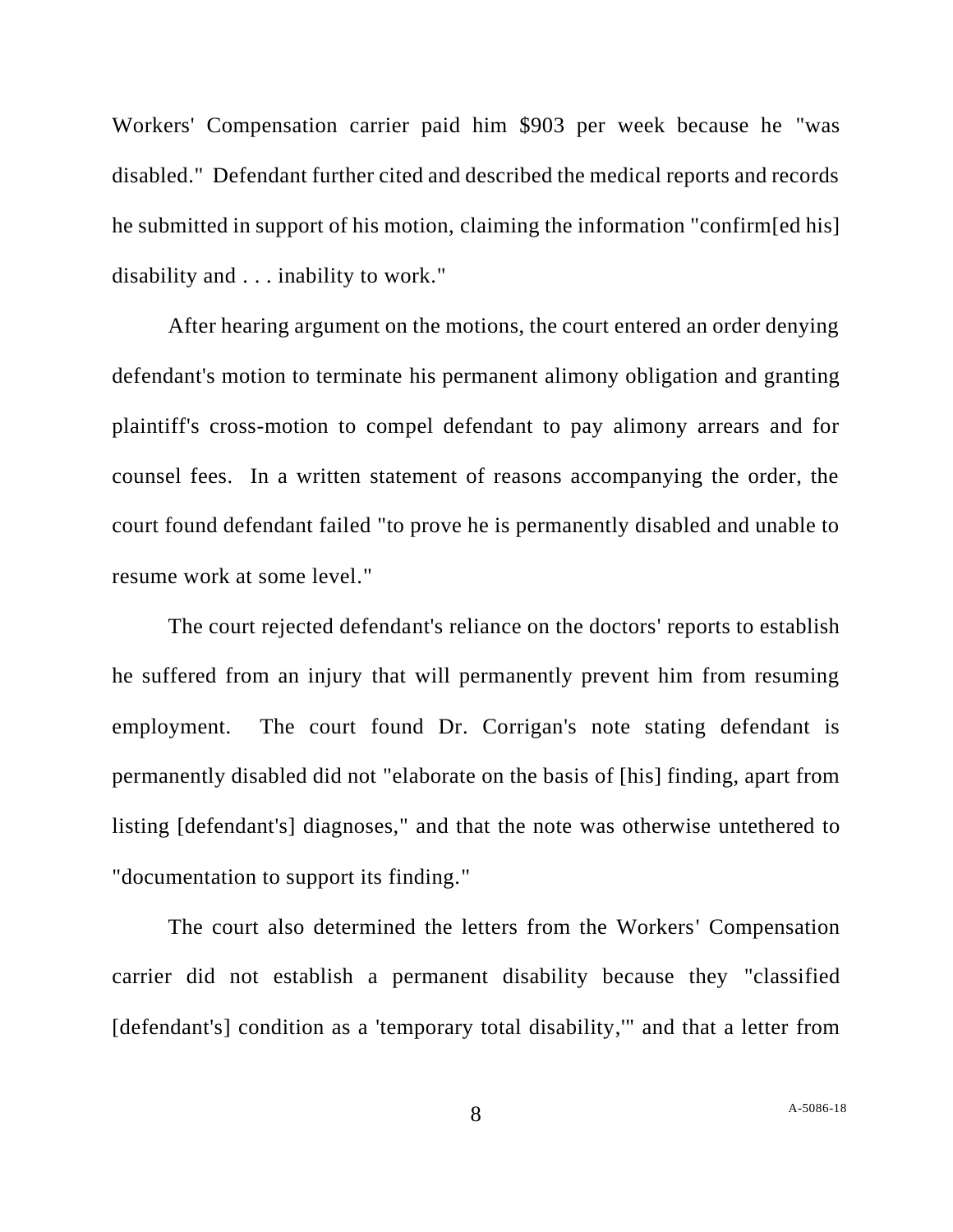Workers' Compensation carrier paid him \$903 per week because he "was disabled." Defendant further cited and described the medical reports and records he submitted in support of his motion, claiming the information "confirm[ed his] disability and . . . inability to work."

After hearing argument on the motions, the court entered an order denying defendant's motion to terminate his permanent alimony obligation and granting plaintiff's cross-motion to compel defendant to pay alimony arrears and for counsel fees. In a written statement of reasons accompanying the order, the court found defendant failed "to prove he is permanently disabled and unable to resume work at some level."

The court rejected defendant's reliance on the doctors' reports to establish he suffered from an injury that will permanently prevent him from resuming employment. The court found Dr. Corrigan's note stating defendant is permanently disabled did not "elaborate on the basis of [his] finding, apart from listing [defendant's] diagnoses," and that the note was otherwise untethered to "documentation to support its finding."

The court also determined the letters from the Workers' Compensation carrier did not establish a permanent disability because they "classified [defendant's] condition as a 'temporary total disability,'" and that a letter from

8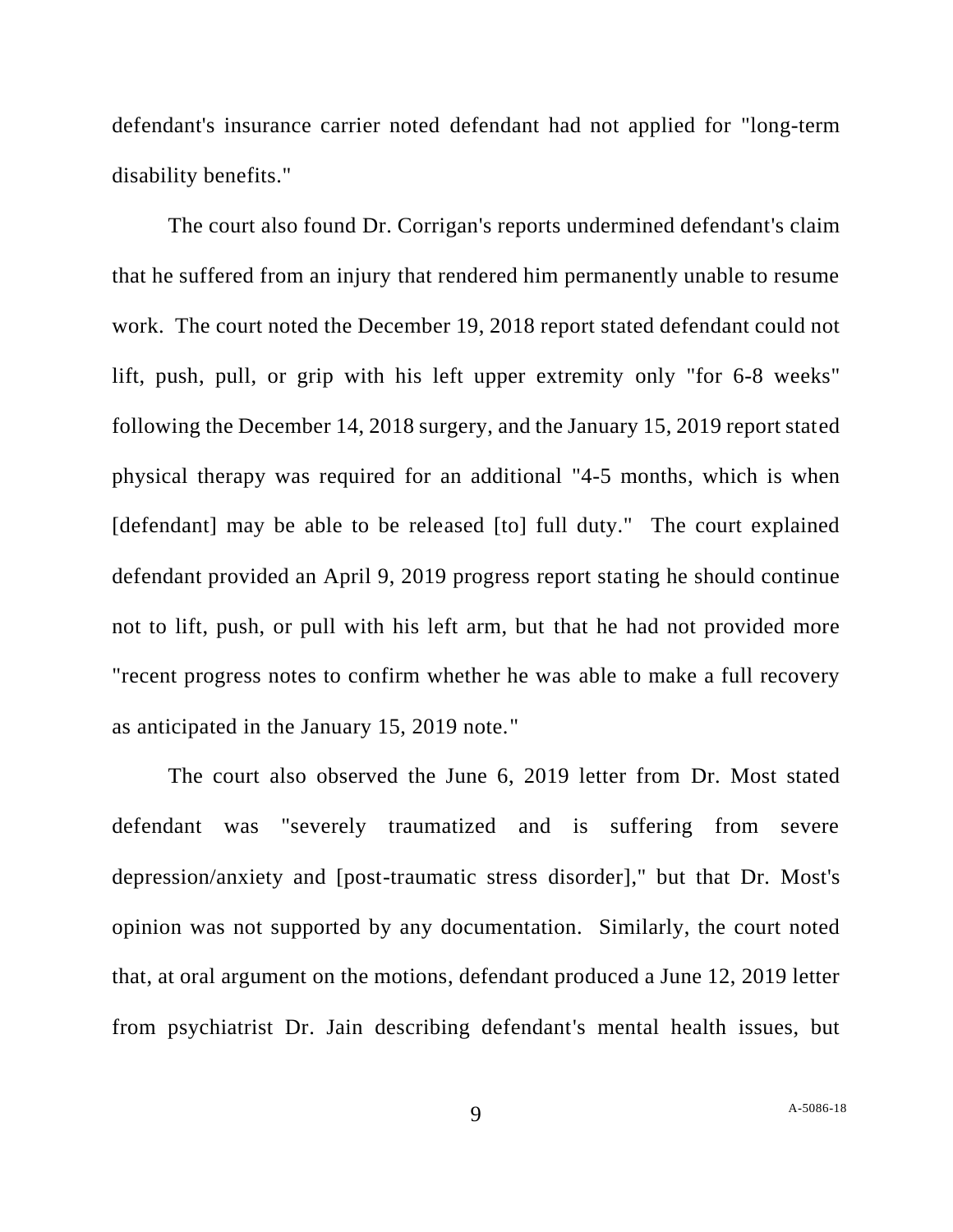defendant's insurance carrier noted defendant had not applied for "long-term disability benefits."

The court also found Dr. Corrigan's reports undermined defendant's claim that he suffered from an injury that rendered him permanently unable to resume work. The court noted the December 19, 2018 report stated defendant could not lift, push, pull, or grip with his left upper extremity only "for 6-8 weeks" following the December 14, 2018 surgery, and the January 15, 2019 report stated physical therapy was required for an additional "4-5 months, which is when [defendant] may be able to be released [to] full duty." The court explained defendant provided an April 9, 2019 progress report stating he should continue not to lift, push, or pull with his left arm, but that he had not provided more "recent progress notes to confirm whether he was able to make a full recovery as anticipated in the January 15, 2019 note."

The court also observed the June 6, 2019 letter from Dr. Most stated defendant was "severely traumatized and is suffering from severe depression/anxiety and [post-traumatic stress disorder]," but that Dr. Most's opinion was not supported by any documentation. Similarly, the court noted that, at oral argument on the motions, defendant produced a June 12, 2019 letter from psychiatrist Dr. Jain describing defendant's mental health issues, but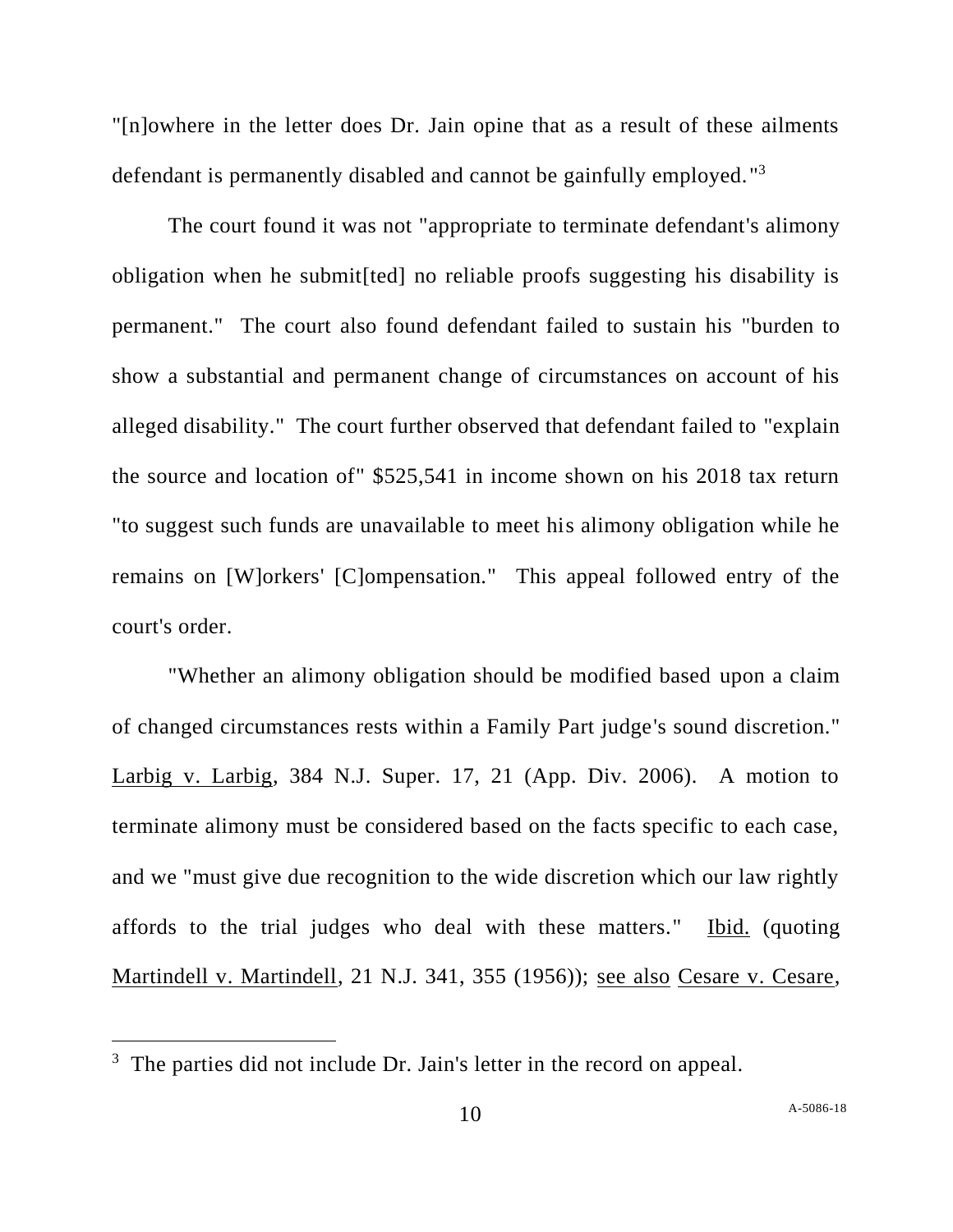"[n]owhere in the letter does Dr. Jain opine that as a result of these ailments defendant is permanently disabled and cannot be gainfully employed."<sup>3</sup>

The court found it was not "appropriate to terminate defendant's alimony obligation when he submit[ted] no reliable proofs suggesting his disability is permanent." The court also found defendant failed to sustain his "burden to show a substantial and permanent change of circumstances on account of his alleged disability." The court further observed that defendant failed to "explain the source and location of" \$525,541 in income shown on his 2018 tax return "to suggest such funds are unavailable to meet his alimony obligation while he remains on [W]orkers' [C]ompensation." This appeal followed entry of the court's order.

"Whether an alimony obligation should be modified based upon a claim of changed circumstances rests within a Family Part judge's sound discretion." Larbig v. Larbig, 384 N.J. Super. 17, 21 (App. Div. 2006). A motion to terminate alimony must be considered based on the facts specific to each case, and we "must give due recognition to the wide discretion which our law rightly affords to the trial judges who deal with these matters." Ibid. (quoting Martindell v. Martindell, 21 N.J. 341, 355 (1956)); see also Cesare v. Cesare,

<sup>&</sup>lt;sup>3</sup> The parties did not include Dr. Jain's letter in the record on appeal.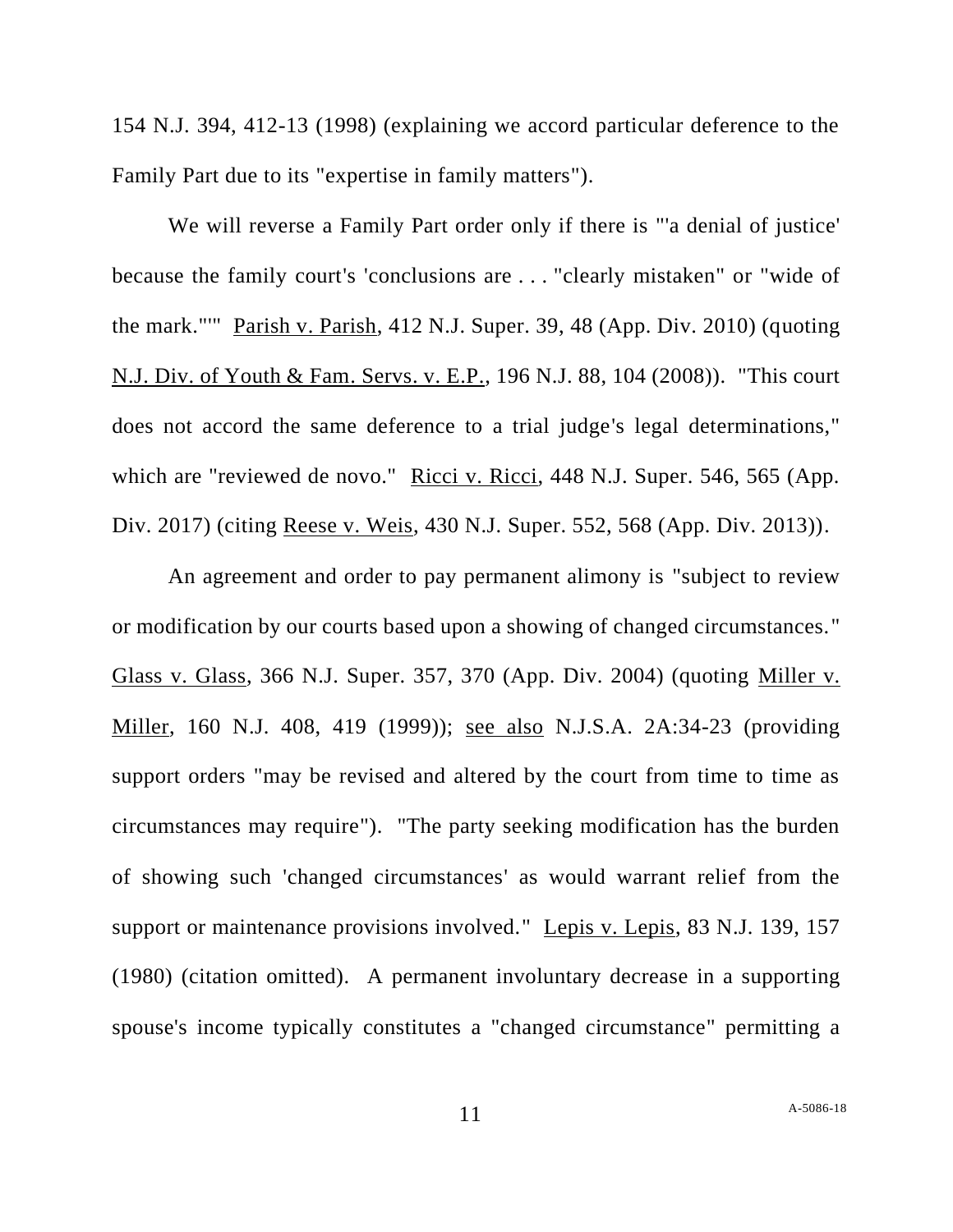154 N.J. 394, 412-13 (1998) (explaining we accord particular deference to the Family Part due to its "expertise in family matters").

We will reverse a Family Part order only if there is "'a denial of justice' because the family court's 'conclusions are . . . "clearly mistaken" or "wide of the mark."'" Parish v. Parish, 412 N.J. Super. 39, 48 (App. Div. 2010) (quoting N.J. Div. of Youth & Fam. Servs. v. E.P., 196 N.J. 88, 104 (2008)). "This court does not accord the same deference to a trial judge's legal determinations," which are "reviewed de novo." Ricci v. Ricci, 448 N.J. Super. 546, 565 (App. Div. 2017) (citing Reese v. Weis, 430 N.J. Super. 552, 568 (App. Div. 2013)).

An agreement and order to pay permanent alimony is "subject to review or modification by our courts based upon a showing of changed circumstances." Glass v. Glass, 366 N.J. Super. 357, 370 (App. Div. 2004) (quoting Miller v. Miller, 160 N.J. 408, 419 (1999)); see also [N.J.S.A. 2A:34-23](https://1.next.westlaw.com/Link/Document/FullText?findType=L&pubNum=1000045&cite=NJST2A%3a34-23&originatingDoc=Icb29de30553011e8a6608077647c238b&refType=LQ&originationContext=document&transitionType=DocumentItem&contextData=(sc.Keycite)) (providing support orders "may be revised and altered by the court from time to time as circumstances may require"). "The party seeking modification has the burden of showing such 'changed circumstances' as would warrant relief from the support or maintenance provisions involved." Lepis v. Lepis, 83 N.J. 139, 157 (1980) (citation omitted). A permanent involuntary decrease in a supporting spouse's income typically constitutes a "changed circumstance" permitting a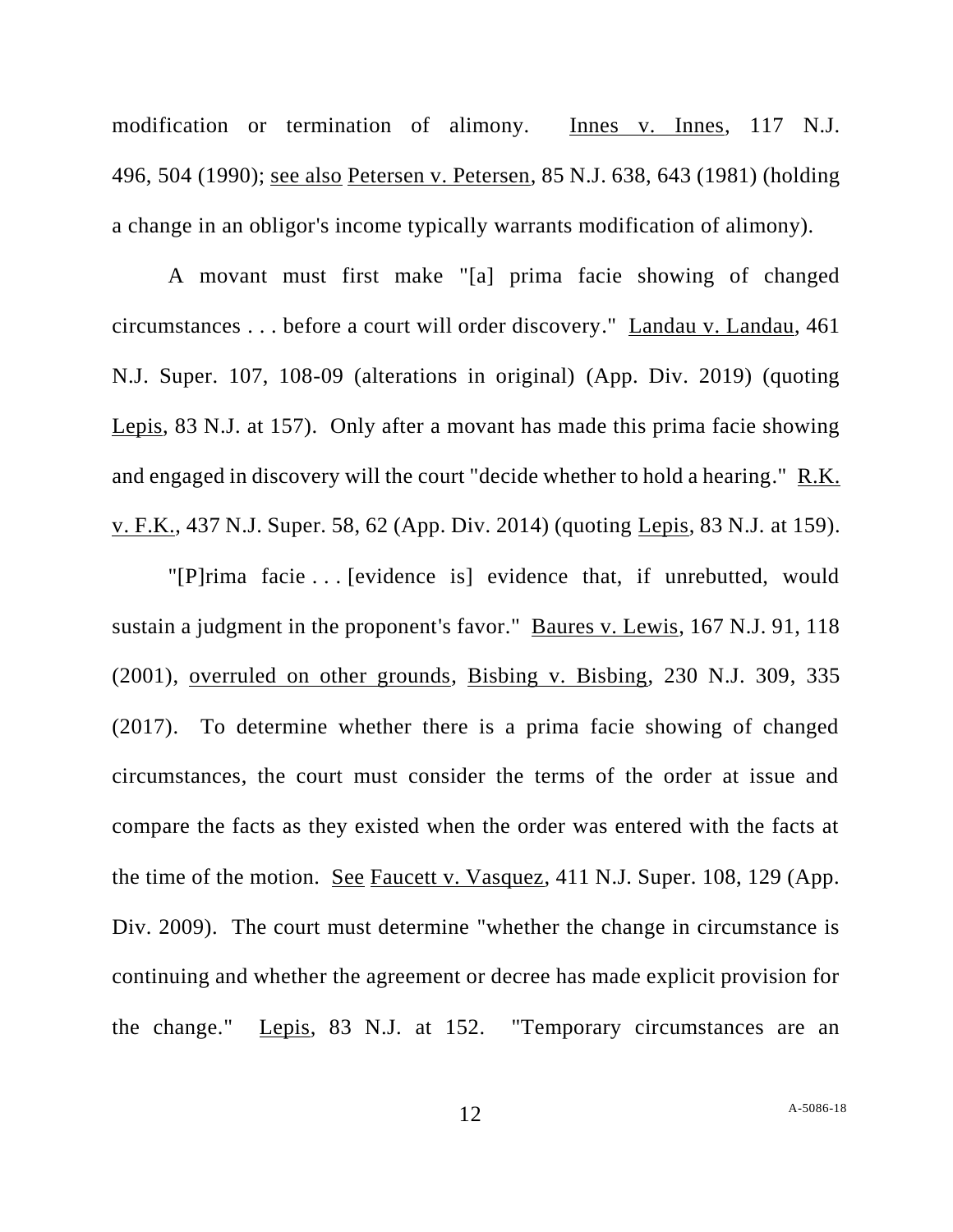modification or termination of alimony. Innes v. Innes, 117 N.J. 496, 504 (1990); see also Petersen v. Petersen, 85 N.J. 638, [643](http://www.gannlaw.com/OnlineApp/ResearchTools/Main/link_case_cite.cfm?case_cite=01000850000638a#P643) (1981) (holding a change in an obligor's income typically warrants modification of alimony).

A movant must first make "[a] prima facie showing of changed circumstances . . . before a court will order discovery." Landau v. Landau, 461 N.J. Super. 107, 108-09 (alterations in original) (App. Div. 2019) (quoting Lepis, 83 N.J. at 157). Only after a movant has made this prima facie showing and engaged in discovery will the court "decide whether to hold a hearing." R.K. v. F.K., 437 N.J. Super. 58, 62 (App. Div. 2014) (quoting Lepis, 83 N.J. at 159).

"[P]rima facie . . . [evidence is] evidence that, if unrebutted, would sustain a judgment in the proponent's favor." Baures v. Lewis, 167 N.J. 91, 118 (2001), overruled on other grounds, Bisbing v. Bisbing, 230 N.J. 309, 335 (2017). To determine whether there is a prima facie showing of changed circumstances, the court must consider the terms of the order at issue and compare the facts as they existed when the order was entered with the facts at the time of the motion. See Faucett v. Vasquez, 411 N.J. Super. 108, 129 (App. Div. 2009). The court must determine "whether the change in circumstance is continuing and whether the agreement or decree has made explicit provision for the change." Lepis, 83 N.J. at 152. "Temporary circumstances are an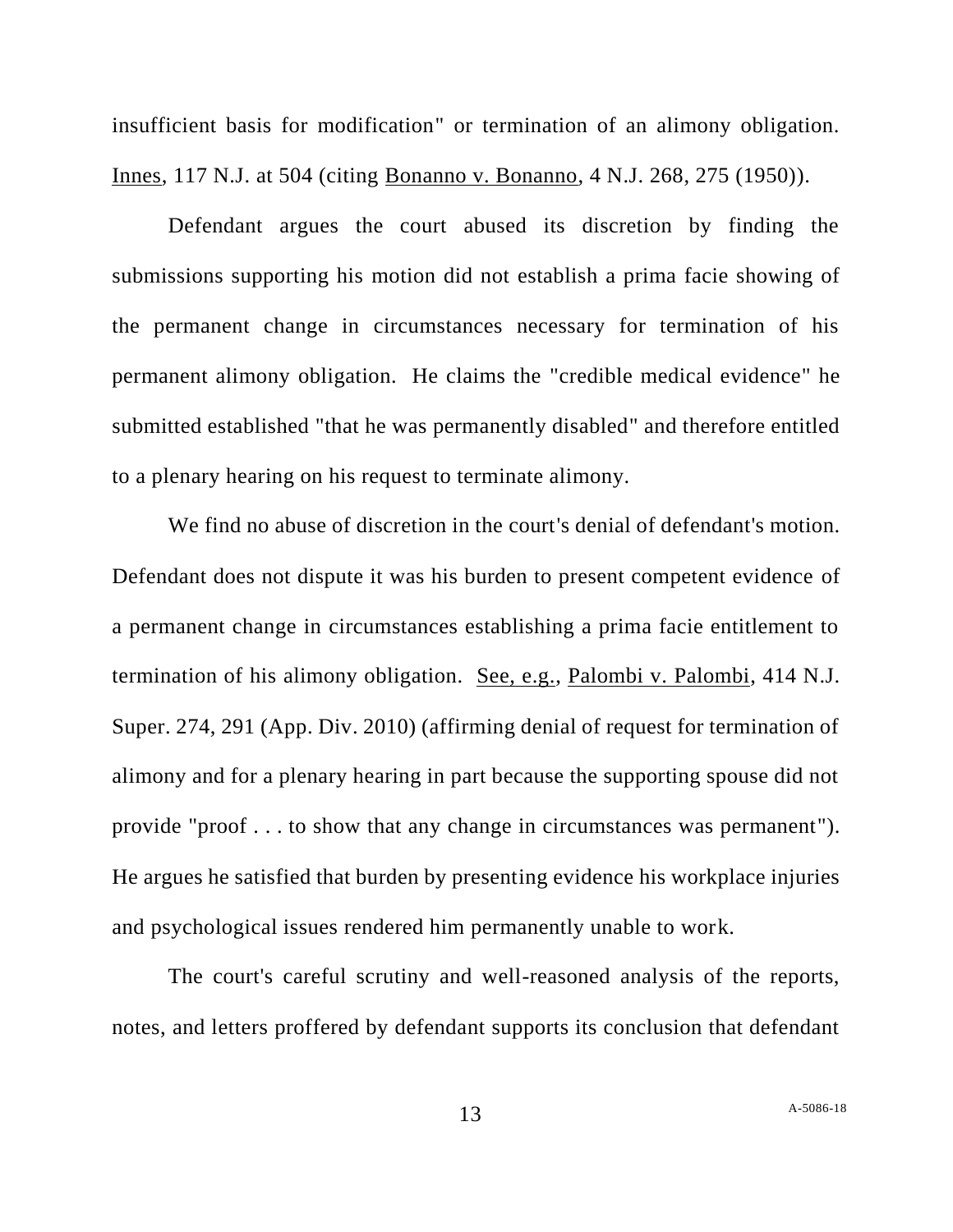insufficient basis for modification" or termination of an alimony obligation. Innes, 117 N.J. at 504 (citing Bonanno v. Bonanno, 4 N.J. 268, 275 (1950)).

Defendant argues the court abused its discretion by finding the submissions supporting his motion did not establish a prima facie showing of the permanent change in circumstances necessary for termination of his permanent alimony obligation. He claims the "credible medical evidence" he submitted established "that he was permanently disabled" and therefore entitled to a plenary hearing on his request to terminate alimony.

We find no abuse of discretion in the court's denial of defendant's motion. Defendant does not dispute it was his burden to present competent evidence of a permanent change in circumstances establishing a prima facie entitlement to termination of his alimony obligation. See, e.g., Palombi v. Palombi, 414 N.J. Super. 274, 291 (App. Div. 2010) (affirming denial of request for termination of alimony and for a plenary hearing in part because the supporting spouse did not provide "proof . . . to show that any change in circumstances was permanent"). He argues he satisfied that burden by presenting evidence his workplace injuries and psychological issues rendered him permanently unable to work.

The court's careful scrutiny and well-reasoned analysis of the reports, notes, and letters proffered by defendant supports its conclusion that defendant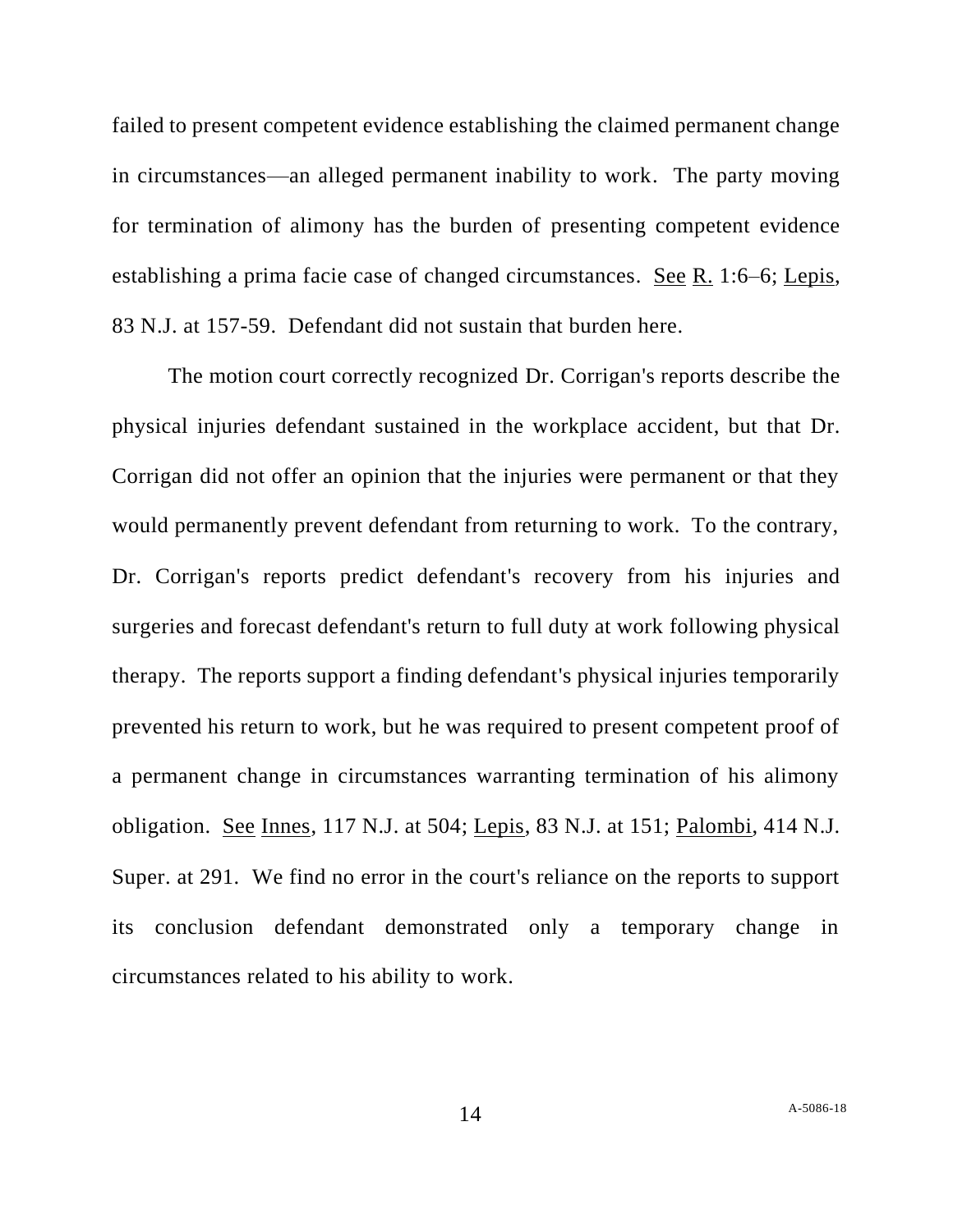failed to present competent evidence establishing the claimed permanent change in circumstances—an alleged permanent inability to work. The party moving for termination of alimony has the burden of presenting competent evidence establishing a prima facie case of changed circumstances. See R. 1:6–6; Lepis, 83 N.J. at 157-59. Defendant did not sustain that burden here.

The motion court correctly recognized Dr. Corrigan's reports describe the physical injuries defendant sustained in the workplace accident, but that Dr. Corrigan did not offer an opinion that the injuries were permanent or that they would permanently prevent defendant from returning to work. To the contrary, Dr. Corrigan's reports predict defendant's recovery from his injuries and surgeries and forecast defendant's return to full duty at work following physical therapy. The reports support a finding defendant's physical injuries temporarily prevented his return to work, but he was required to present competent proof of a permanent change in circumstances warranting termination of his alimony obligation. See Innes, 117 N.J. at 504; Lepis, 83 N.J. at 151; Palombi, 414 N.J. Super. at 291. We find no error in the court's reliance on the reports to support its conclusion defendant demonstrated only a temporary change in circumstances related to his ability to work.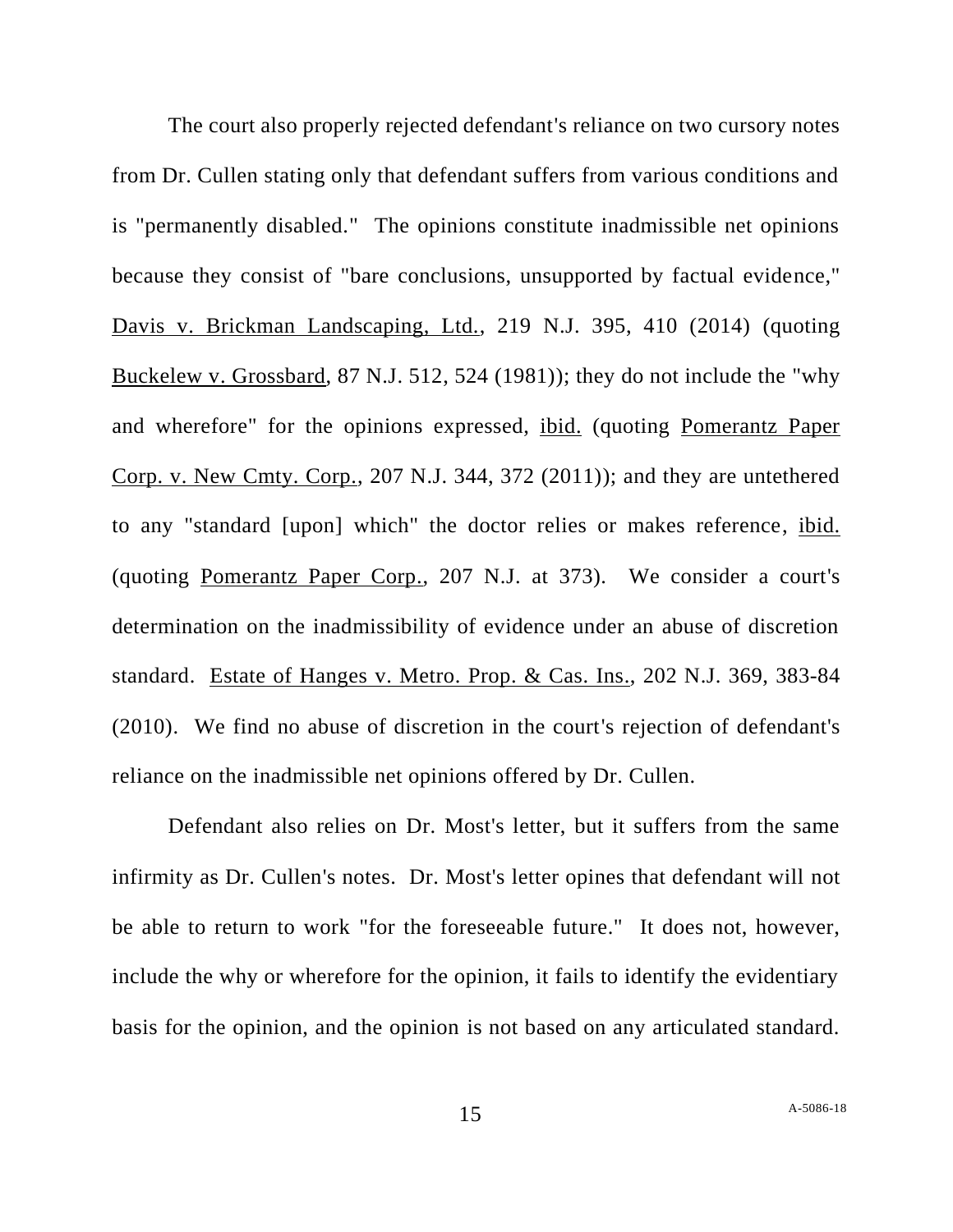The court also properly rejected defendant's reliance on two cursory notes from Dr. Cullen stating only that defendant suffers from various conditions and is "permanently disabled." The opinions constitute inadmissible net opinions because they consist of "bare conclusions, unsupported by factual evidence," Davis v. Brickman Landscaping, Ltd., 219 N.J. 395, 410 (2014) (quoting Buckelew v. Grossbard, 87 N.J. 512, 524 (1981)); they do not include the "why and wherefore" for the opinions expressed, ibid. (quoting Pomerantz Paper Corp. v. New Cmty. Corp., 207 N.J. 344, 372 (2011)); and they are untethered to any "standard [upon] which" the doctor relies or makes reference, ibid. (quoting Pomerantz Paper Corp., 207 N.J. at 373). We consider a court's determination on the inadmissibility of evidence under an abuse of discretion standard. Estate of Hanges v. Metro. Prop. & Cas. Ins., 202 N.J. 369, 383-84 (2010). We find no abuse of discretion in the court's rejection of defendant's reliance on the inadmissible net opinions offered by Dr. Cullen.

Defendant also relies on Dr. Most's letter, but it suffers from the same infirmity as Dr. Cullen's notes. Dr. Most's letter opines that defendant will not be able to return to work "for the foreseeable future." It does not, however, include the why or wherefore for the opinion, it fails to identify the evidentiary basis for the opinion, and the opinion is not based on any articulated standard.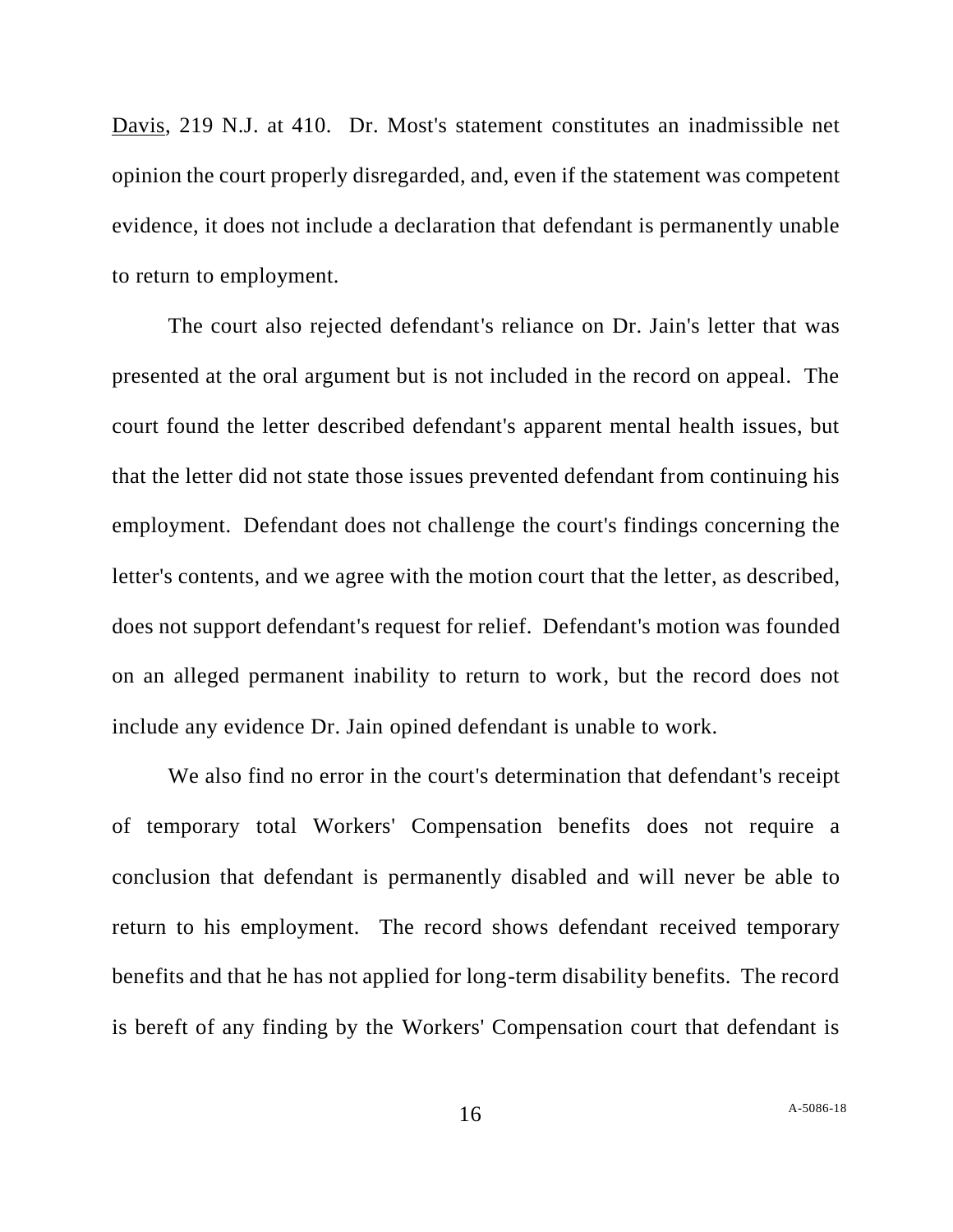Davis, 219 N.J. at 410. Dr. Most's statement constitutes an inadmissible net opinion the court properly disregarded, and, even if the statement was competent evidence, it does not include a declaration that defendant is permanently unable to return to employment.

The court also rejected defendant's reliance on Dr. Jain's letter that was presented at the oral argument but is not included in the record on appeal. The court found the letter described defendant's apparent mental health issues, but that the letter did not state those issues prevented defendant from continuing his employment. Defendant does not challenge the court's findings concerning the letter's contents, and we agree with the motion court that the letter, as described, does not support defendant's request for relief. Defendant's motion was founded on an alleged permanent inability to return to work, but the record does not include any evidence Dr. Jain opined defendant is unable to work.

We also find no error in the court's determination that defendant's receipt of temporary total Workers' Compensation benefits does not require a conclusion that defendant is permanently disabled and will never be able to return to his employment. The record shows defendant received temporary benefits and that he has not applied for long-term disability benefits. The record is bereft of any finding by the Workers' Compensation court that defendant is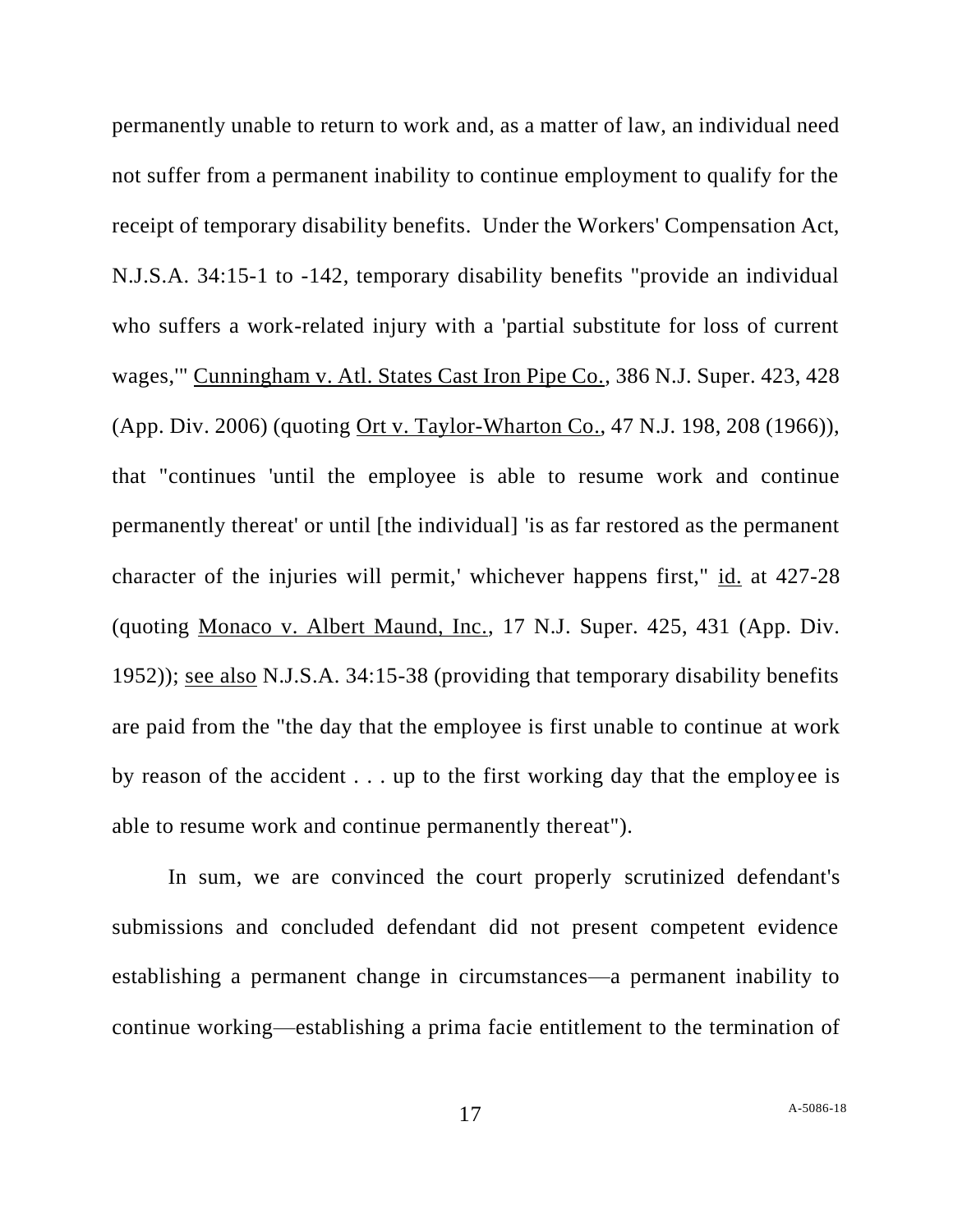permanently unable to return to work and, as a matter of law, an individual need not suffer from a permanent inability to continue employment to qualify for the receipt of temporary disability benefits. Under the Workers' Compensation Act, N.J.S.A. 34:15-1 to -142, temporary disability benefits "provide an individual who suffers a work-related injury with a 'partial substitute for loss of current wages,'" Cunningham v. Atl. States Cast Iron Pipe Co., 386 N.J. Super. 423, 428 (App. Div. 2006) (quoting Ort v. Taylor-Wharton Co., 47 N.J. 198, 208 (1966)), that "continues 'until the employee is able to resume work and continue permanently thereat' or until [the individual] 'is as far restored as the permanent character of the injuries will permit,' whichever happens first," id. at 427-28 (quoting Monaco v. Albert Maund, Inc., 17 N.J. Super. 425, 431 (App. Div. 1952)); see also N.J.S.A. 34:15-38 (providing that temporary disability benefits are paid from the "the day that the employee is first unable to continue at work by reason of the accident . . . up to the first working day that the employee is able to resume work and continue permanently thereat").

In sum, we are convinced the court properly scrutinized defendant's submissions and concluded defendant did not present competent evidence establishing a permanent change in circumstances—a permanent inability to continue working—establishing a prima facie entitlement to the termination of